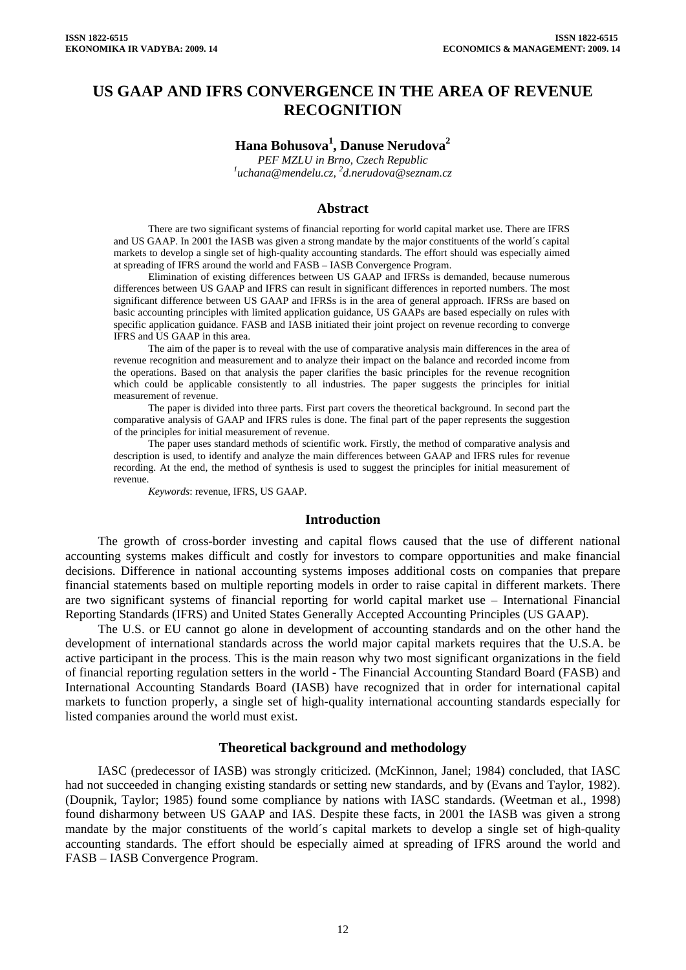# **US GAAP AND IFRS CONVERGENCE IN THE AREA OF REVENUE RECOGNITION**

# **Hana Bohusova<sup>1</sup> , Danuse Nerudova<sup>2</sup>**

*PEF MZLU in Brno, Czech Republic 1 [uchana@mendelu.cz](mailto:uchana@mendelu.cz), <sup>2</sup> d.nerudova@seznam.cz* 

#### **Abstract**

There are two significant systems of financial reporting for world capital market use. There are IFRS and US GAAP. In 2001 the IASB was given a strong mandate by the major constituents of the world´s capital markets to develop a single set of high-quality accounting standards. The effort should was especially aimed at spreading of IFRS around the world and FASB – IASB Convergence Program.

Elimination of existing differences between US GAAP and IFRSs is demanded, because numerous differences between US GAAP and IFRS can result in significant differences in reported numbers. The most significant difference between US GAAP and IFRSs is in the area of general approach. IFRSs are based on basic accounting principles with limited application guidance, US GAAPs are based especially on rules with specific application guidance. FASB and IASB initiated their joint project on revenue recording to converge IFRS and US GAAP in this area.

The aim of the paper is to reveal with the use of comparative analysis main differences in the area of revenue recognition and measurement and to analyze their impact on the balance and recorded income from the operations. Based on that analysis the paper clarifies the basic principles for the revenue recognition which could be applicable consistently to all industries. The paper suggests the principles for initial measurement of revenue.

The paper is divided into three parts. First part covers the theoretical background. In second part the comparative analysis of GAAP and IFRS rules is done. The final part of the paper represents the suggestion of the principles for initial measurement of revenue.

The paper uses standard methods of scientific work. Firstly, the method of comparative analysis and description is used, to identify and analyze the main differences between GAAP and IFRS rules for revenue recording. At the end, the method of synthesis is used to suggest the principles for initial measurement of revenue.

*Keywords*: revenue, IFRS, US GAAP.

#### **Introduction**

The growth of cross-border investing and capital flows caused that the use of different national accounting systems makes difficult and costly for investors to compare opportunities and make financial decisions. Difference in national accounting systems imposes additional costs on companies that prepare financial statements based on multiple reporting models in order to raise capital in different markets. There are two significant systems of financial reporting for world capital market use – International Financial Reporting Standards (IFRS) and United States Generally Accepted Accounting Principles (US GAAP).

The U.S. or EU cannot go alone in development of accounting standards and on the other hand the development of international standards across the world major capital markets requires that the U.S.A. be active participant in the process. This is the main reason why two most significant organizations in the field of financial reporting regulation setters in the world - The Financial Accounting Standard Board (FASB) and International Accounting Standards Board (IASB) have recognized that in order for international capital markets to function properly, a single set of high-quality international accounting standards especially for listed companies around the world must exist.

#### **Theoretical background and methodology**

IASC (predecessor of IASB) was strongly criticized. (McKinnon, Janel; 1984) concluded, that IASC had not succeeded in changing existing standards or setting new standards, and by (Evans and Taylor, 1982). (Doupnik, Taylor; 1985) found some compliance by nations with IASC standards. (Weetman et al., 1998) found disharmony between US GAAP and IAS. Despite these facts, in 2001 the IASB was given a strong mandate by the major constituents of the world´s capital markets to develop a single set of high-quality accounting standards. The effort should be especially aimed at spreading of IFRS around the world and FASB – IASB Convergence Program.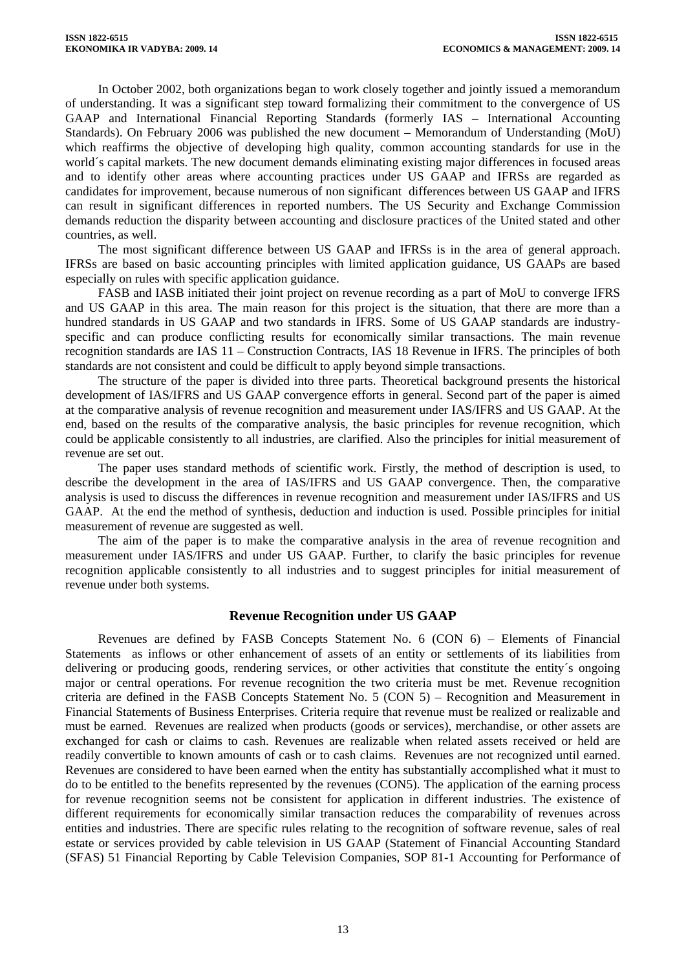In October 2002, both organizations began to work closely together and jointly issued a memorandum of understanding. It was a significant step toward formalizing their commitment to the convergence of US GAAP and International Financial Reporting Standards (formerly IAS – International Accounting Standards). On February 2006 was published the new document – Memorandum of Understanding (MoU) which reaffirms the objective of developing high quality, common accounting standards for use in the world´s capital markets. The new document demands eliminating existing major differences in focused areas and to identify other areas where accounting practices under US GAAP and IFRSs are regarded as candidates for improvement, because numerous of non significant differences between US GAAP and IFRS can result in significant differences in reported numbers. The US Security and Exchange Commission demands reduction the disparity between accounting and disclosure practices of the United stated and other countries, as well.

The most significant difference between US GAAP and IFRSs is in the area of general approach. IFRSs are based on basic accounting principles with limited application guidance, US GAAPs are based especially on rules with specific application guidance.

FASB and IASB initiated their joint project on revenue recording as a part of MoU to converge IFRS and US GAAP in this area. The main reason for this project is the situation, that there are more than a hundred standards in US GAAP and two standards in IFRS. Some of US GAAP standards are industryspecific and can produce conflicting results for economically similar transactions. The main revenue recognition standards are IAS 11 – Construction Contracts, IAS 18 Revenue in IFRS. The principles of both standards are not consistent and could be difficult to apply beyond simple transactions.

The structure of the paper is divided into three parts. Theoretical background presents the historical development of IAS/IFRS and US GAAP convergence efforts in general. Second part of the paper is aimed at the comparative analysis of revenue recognition and measurement under IAS/IFRS and US GAAP. At the end, based on the results of the comparative analysis, the basic principles for revenue recognition, which could be applicable consistently to all industries, are clarified. Also the principles for initial measurement of revenue are set out.

The paper uses standard methods of scientific work. Firstly, the method of description is used, to describe the development in the area of IAS/IFRS and US GAAP convergence. Then, the comparative analysis is used to discuss the differences in revenue recognition and measurement under IAS/IFRS and US GAAP. At the end the method of synthesis, deduction and induction is used. Possible principles for initial measurement of revenue are suggested as well.

The aim of the paper is to make the comparative analysis in the area of revenue recognition and measurement under IAS/IFRS and under US GAAP. Further, to clarify the basic principles for revenue recognition applicable consistently to all industries and to suggest principles for initial measurement of revenue under both systems.

#### **Revenue Recognition under US GAAP**

Revenues are defined by FASB Concepts Statement No. 6 (CON 6) – Elements of Financial Statements as inflows or other enhancement of assets of an entity or settlements of its liabilities from delivering or producing goods, rendering services, or other activities that constitute the entity´s ongoing major or central operations. For revenue recognition the two criteria must be met. Revenue recognition criteria are defined in the FASB Concepts Statement No. 5 (CON 5) – Recognition and Measurement in Financial Statements of Business Enterprises. Criteria require that revenue must be realized or realizable and must be earned. Revenues are realized when products (goods or services), merchandise, or other assets are exchanged for cash or claims to cash. Revenues are realizable when related assets received or held are readily convertible to known amounts of cash or to cash claims. Revenues are not recognized until earned. Revenues are considered to have been earned when the entity has substantially accomplished what it must to do to be entitled to the benefits represented by the revenues (CON5). The application of the earning process for revenue recognition seems not be consistent for application in different industries. The existence of different requirements for economically similar transaction reduces the comparability of revenues across entities and industries. There are specific rules relating to the recognition of software revenue, sales of real estate or services provided by cable television in US GAAP (Statement of Financial Accounting Standard (SFAS) 51 Financial Reporting by Cable Television Companies, SOP 81-1 Accounting for Performance of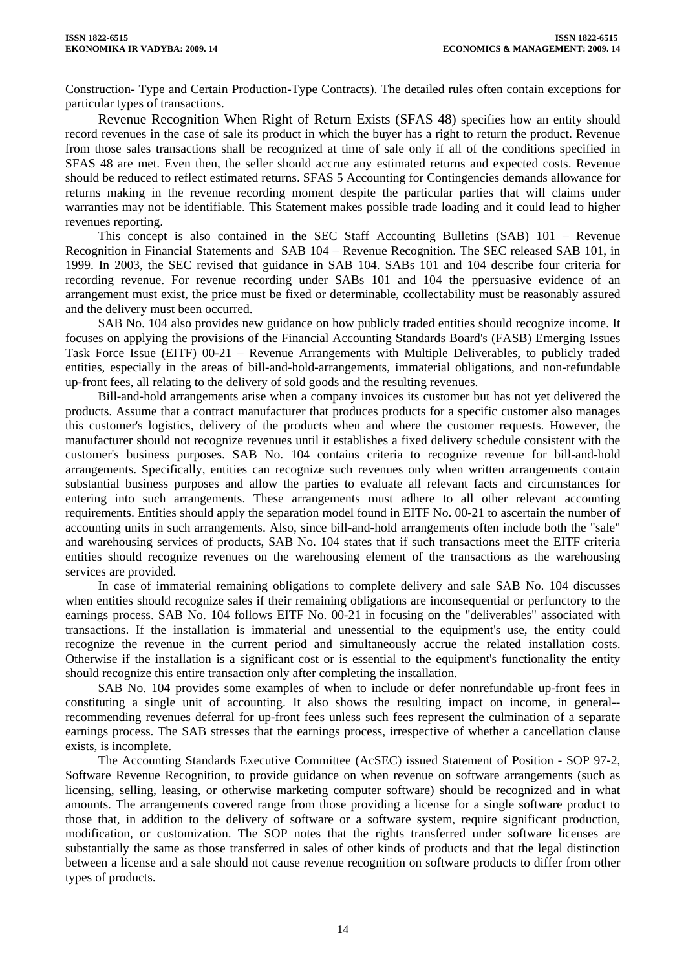Construction- Type and Certain Production-Type Contracts). The detailed rules often contain exceptions for particular types of transactions.

Revenue Recognition When Right of Return Exists (SFAS 48) specifies how an entity should record revenues in the case of sale its product in which the buyer has a right to return the product. Revenue from those sales transactions shall be recognized at time of sale only if all of the conditions specified in SFAS 48 are met. Even then, the seller should accrue any estimated returns and expected costs. Revenue should be reduced to reflect estimated returns. SFAS 5 Accounting for Contingencies demands allowance for returns making in the revenue recording moment despite the particular parties that will claims under warranties may not be identifiable. This Statement makes possible trade loading and it could lead to higher revenues reporting.

This concept is also contained in the SEC Staff Accounting Bulletins (SAB) 101 – Revenue Recognition in Financial Statements and SAB 104 – Revenue Recognition. The SEC released SAB 101, in 1999. In 2003, the SEC revised that guidance in SAB 104. SABs 101 and 104 describe four criteria for recording revenue. For revenue recording under SABs 101 and 104 the ppersuasive evidence of an arrangement must exist, the price must be fixed or determinable, ccollectability must be reasonably assured and the delivery must been occurred.

SAB No. 104 also provides new guidance on how publicly traded entities should recognize income. It focuses on applying the provisions of the Financial Accounting Standards Board's (FASB) Emerging Issues Task Force Issue (EITF) 00-21 – Revenue Arrangements with Multiple Deliverables, to publicly traded entities, especially in the areas of bill-and-hold-arrangements, immaterial obligations, and non-refundable up-front fees, all relating to the delivery of sold goods and the resulting revenues.

Bill-and-hold arrangements arise when a company invoices its customer but has not yet delivered the products. Assume that a contract manufacturer that produces products for a specific customer also manages this customer's logistics, delivery of the products when and where the customer requests. However, the manufacturer should not recognize revenues until it establishes a fixed delivery schedule consistent with the customer's business purposes. SAB No. 104 contains criteria to recognize revenue for bill-and-hold arrangements. Specifically, entities can recognize such revenues only when written arrangements contain substantial business purposes and allow the parties to evaluate all relevant facts and circumstances for entering into such arrangements. These arrangements must adhere to all other relevant accounting requirements. Entities should apply the separation model found in EITF No. 00-21 to ascertain the number of accounting units in such arrangements. Also, since bill-and-hold arrangements often include both the "sale" and warehousing services of products, SAB No. 104 states that if such transactions meet the EITF criteria entities should recognize revenues on the warehousing element of the transactions as the warehousing services are provided.

In case of immaterial remaining obligations to complete delivery and sale SAB No. 104 discusses when entities should recognize sales if their remaining obligations are inconsequential or perfunctory to the earnings process. SAB No. 104 follows EITF No. 00-21 in focusing on the "deliverables" associated with transactions. If the installation is immaterial and unessential to the equipment's use, the entity could recognize the revenue in the current period and simultaneously accrue the related installation costs. Otherwise if the installation is a significant cost or is essential to the equipment's functionality the entity should recognize this entire transaction only after completing the installation.

SAB No. 104 provides some examples of when to include or defer nonrefundable up-front fees in constituting a single unit of accounting. It also shows the resulting impact on income, in general- recommending revenues deferral for up-front fees unless such fees represent the culmination of a separate earnings process. The SAB stresses that the earnings process, irrespective of whether a cancellation clause exists, is incomplete.

The Accounting Standards Executive Committee (AcSEC) issued Statement of Position - SOP 97-2, Software Revenue Recognition, to provide guidance on when revenue on software arrangements (such as licensing, selling, leasing, or otherwise marketing computer software) should be recognized and in what amounts. The arrangements covered range from those providing a license for a single software product to those that, in addition to the delivery of software or a software system, require significant production, modification, or customization. The SOP notes that the rights transferred under software licenses are substantially the same as those transferred in sales of other kinds of products and that the legal distinction between a license and a sale should not cause revenue recognition on software products to differ from other types of products.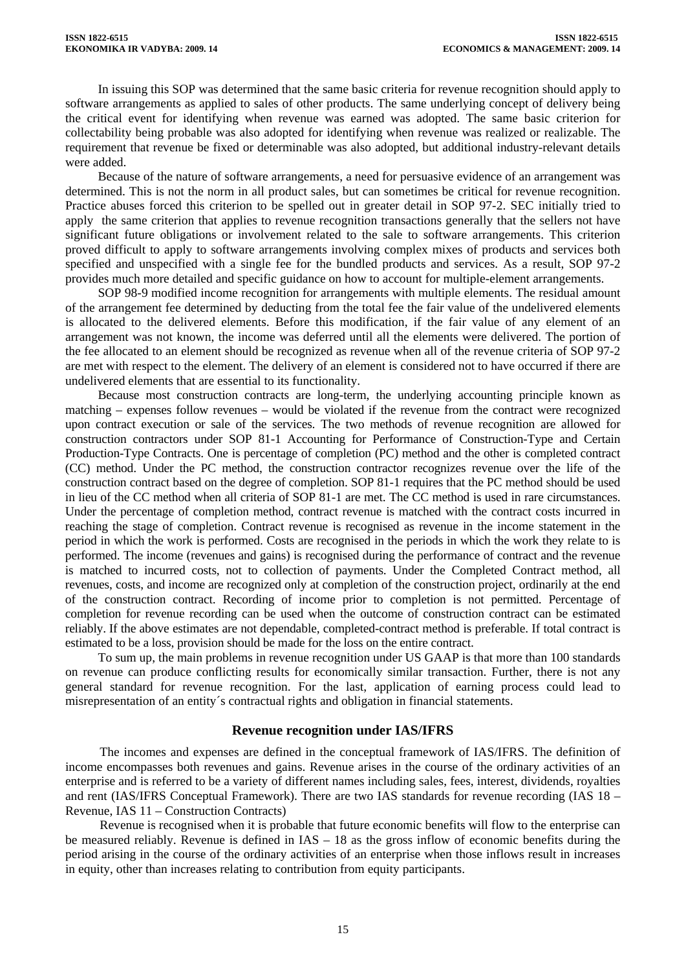In issuing this SOP was determined that the same basic criteria for revenue recognition should apply to software arrangements as applied to sales of other products. The same underlying concept of delivery being the critical event for identifying when revenue was earned was adopted. The same basic criterion for collectability being probable was also adopted for identifying when revenue was realized or realizable. The requirement that revenue be fixed or determinable was also adopted, but additional industry-relevant details were added.

Because of the nature of software arrangements, a need for persuasive evidence of an arrangement was determined. This is not the norm in all product sales, but can sometimes be critical for revenue recognition. Practice abuses forced this criterion to be spelled out in greater detail in SOP 97-2. SEC initially tried to apply the same criterion that applies to revenue recognition transactions generally that the sellers not have significant future obligations or involvement related to the sale to software arrangements. This criterion proved difficult to apply to software arrangements involving complex mixes of products and services both specified and unspecified with a single fee for the bundled products and services. As a result, SOP 97-2 provides much more detailed and specific guidance on how to account for multiple-element arrangements.

SOP 98-9 modified income recognition for arrangements with multiple elements. The residual amount of the arrangement fee determined by deducting from the total fee the fair value of the undelivered elements is allocated to the delivered elements. Before this modification, if the fair value of any element of an arrangement was not known, the income was deferred until all the elements were delivered. The portion of the fee allocated to an element should be recognized as revenue when all of the revenue criteria of SOP 97-2 are met with respect to the element. The delivery of an element is considered not to have occurred if there are undelivered elements that are essential to its functionality.

Because most construction contracts are long-term, the underlying accounting principle known as matching – expenses follow revenues – would be violated if the revenue from the contract were recognized upon contract execution or sale of the services. The two methods of revenue recognition are allowed for construction contractors under SOP 81-1 Accounting for Performance of Construction-Type and Certain Production-Type Contracts. One is percentage of completion (PC) method and the other is completed contract (CC) method. Under the PC method, the construction contractor recognizes revenue over the life of the construction contract based on the degree of completion. SOP 81-1 requires that the PC method should be used in lieu of the CC method when all criteria of SOP 81-1 are met. The CC method is used in rare circumstances. Under the percentage of completion method, contract revenue is matched with the contract costs incurred in reaching the stage of completion. Contract revenue is recognised as revenue in the income statement in the period in which the work is performed. Costs are recognised in the periods in which the work they relate to is performed. The income (revenues and gains) is recognised during the performance of contract and the revenue is matched to incurred costs, not to collection of payments. Under the Completed Contract method, all revenues, costs, and income are recognized only at completion of the construction project, ordinarily at the end of the construction contract. Recording of income prior to completion is not permitted. Percentage of completion for revenue recording can be used when the outcome of construction contract can be estimated reliably. If the above estimates are not dependable, completed-contract method is preferable. If total contract is estimated to be a loss, provision should be made for the loss on the entire contract.

To sum up, the main problems in revenue recognition under US GAAP is that more than 100 standards on revenue can produce conflicting results for economically similar transaction. Further, there is not any general standard for revenue recognition. For the last, application of earning process could lead to misrepresentation of an entity´s contractual rights and obligation in financial statements.

#### **Revenue recognition under IAS/IFRS**

The incomes and expenses are defined in the conceptual framework of IAS/IFRS. The definition of income encompasses both revenues and gains. Revenue arises in the course of the ordinary activities of an enterprise and is referred to be a variety of different names including sales, fees, interest, dividends, royalties and rent (IAS/IFRS Conceptual Framework). There are two IAS standards for revenue recording (IAS 18 – Revenue, IAS 11 – Construction Contracts)

Revenue is recognised when it is probable that future economic benefits will flow to the enterprise can be measured reliably. Revenue is defined in IAS – 18 as the gross inflow of economic benefits during the period arising in the course of the ordinary activities of an enterprise when those inflows result in increases in equity, other than increases relating to contribution from equity participants.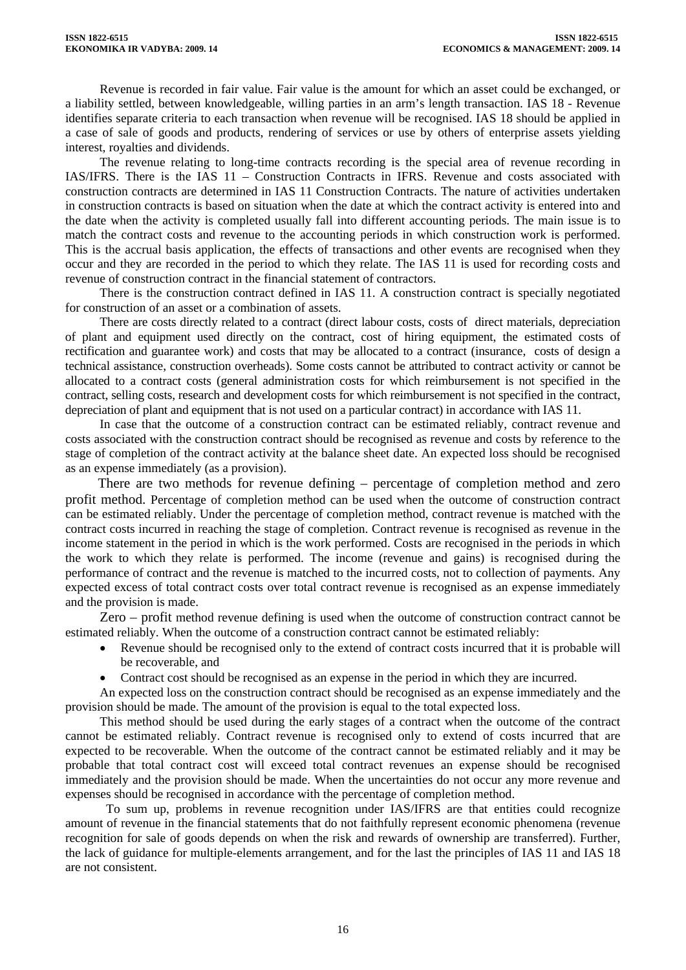Revenue is recorded in fair value. Fair value is the amount for which an asset could be exchanged, or a liability settled, between knowledgeable, willing parties in an arm's length transaction. IAS 18 - Revenue identifies separate criteria to each transaction when revenue will be recognised. IAS 18 should be applied in a case of sale of goods and products, rendering of services or use by others of enterprise assets yielding interest, royalties and dividends.

The revenue relating to long-time contracts recording is the special area of revenue recording in IAS/IFRS. There is the IAS 11 – Construction Contracts in IFRS. Revenue and costs associated with construction contracts are determined in IAS 11 Construction Contracts. The nature of activities undertaken in construction contracts is based on situation when the date at which the contract activity is entered into and the date when the activity is completed usually fall into different accounting periods. The main issue is to match the contract costs and revenue to the accounting periods in which construction work is performed. This is the accrual basis application, the effects of transactions and other events are recognised when they occur and they are recorded in the period to which they relate. The IAS 11 is used for recording costs and revenue of construction contract in the financial statement of contractors.

There is the construction contract defined in IAS 11. A construction contract is specially negotiated for construction of an asset or a combination of assets.

There are costs directly related to a contract (direct labour costs, costs of direct materials, depreciation of plant and equipment used directly on the contract, cost of hiring equipment, the estimated costs of rectification and guarantee work) and costs that may be allocated to a contract (insurance, costs of design a technical assistance, construction overheads). Some costs cannot be attributed to contract activity or cannot be allocated to a contract costs (general administration costs for which reimbursement is not specified in the contract, selling costs, research and development costs for which reimbursement is not specified in the contract, depreciation of plant and equipment that is not used on a particular contract) in accordance with IAS 11.

In case that the outcome of a construction contract can be estimated reliably, contract revenue and costs associated with the construction contract should be recognised as revenue and costs by reference to the stage of completion of the contract activity at the balance sheet date. An expected loss should be recognised as an expense immediately (as a provision).

There are two methods for revenue defining – percentage of completion method and zero profit method. Percentage of completion method can be used when the outcome of construction contract can be estimated reliably. Under the percentage of completion method, contract revenue is matched with the contract costs incurred in reaching the stage of completion. Contract revenue is recognised as revenue in the income statement in the period in which is the work performed. Costs are recognised in the periods in which the work to which they relate is performed. The income (revenue and gains) is recognised during the performance of contract and the revenue is matched to the incurred costs, not to collection of payments. Any expected excess of total contract costs over total contract revenue is recognised as an expense immediately and the provision is made.

Zero – profit method revenue defining is used when the outcome of construction contract cannot be estimated reliably. When the outcome of a construction contract cannot be estimated reliably:

- Revenue should be recognised only to the extend of contract costs incurred that it is probable will be recoverable, and
- Contract cost should be recognised as an expense in the period in which they are incurred.

An expected loss on the construction contract should be recognised as an expense immediately and the provision should be made. The amount of the provision is equal to the total expected loss.

This method should be used during the early stages of a contract when the outcome of the contract cannot be estimated reliably. Contract revenue is recognised only to extend of costs incurred that are expected to be recoverable. When the outcome of the contract cannot be estimated reliably and it may be probable that total contract cost will exceed total contract revenues an expense should be recognised immediately and the provision should be made. When the uncertainties do not occur any more revenue and expenses should be recognised in accordance with the percentage of completion method.

To sum up, problems in revenue recognition under IAS/IFRS are that entities could recognize amount of revenue in the financial statements that do not faithfully represent economic phenomena (revenue recognition for sale of goods depends on when the risk and rewards of ownership are transferred). Further, the lack of guidance for multiple-elements arrangement, and for the last the principles of IAS 11 and IAS 18 are not consistent.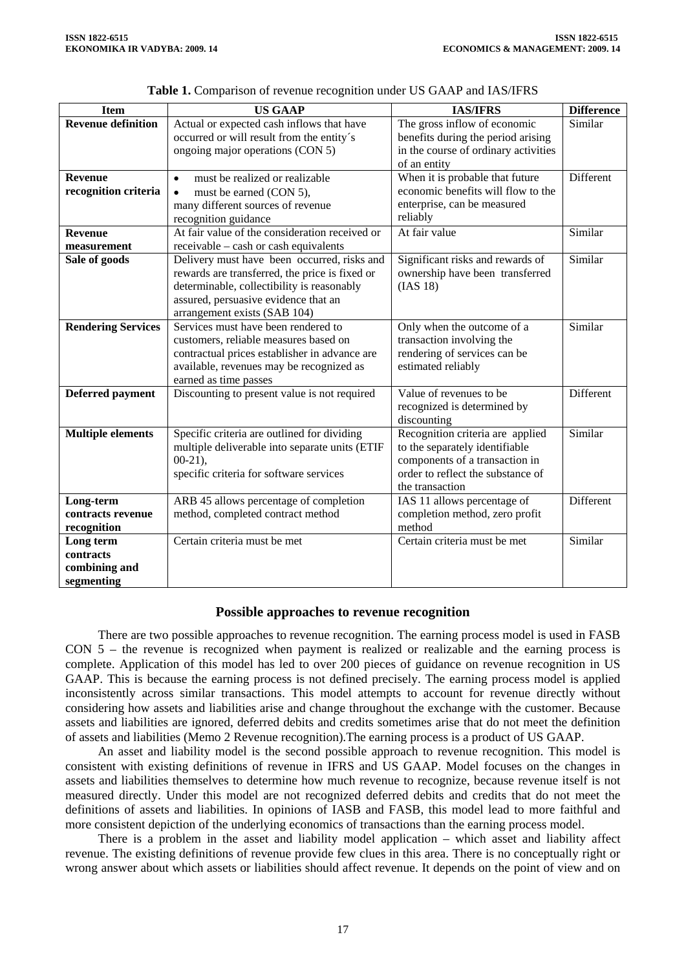| <b>Item</b>               | <b>US GAAP</b>                                                    | <b>IAS/IFRS</b>                                    | <b>Difference</b> |
|---------------------------|-------------------------------------------------------------------|----------------------------------------------------|-------------------|
| <b>Revenue definition</b> | Actual or expected cash inflows that have                         | The gross inflow of economic                       | Similar           |
|                           | occurred or will result from the entity's                         | benefits during the period arising                 |                   |
|                           | ongoing major operations (CON 5)                                  | in the course of ordinary activities               |                   |
|                           |                                                                   | of an entity                                       |                   |
| <b>Revenue</b>            | must be realized or realizable<br>$\bullet$                       | When it is probable that future                    | Different         |
| recognition criteria      | must be earned (CON 5),<br>$\bullet$                              | economic benefits will flow to the                 |                   |
|                           | many different sources of revenue                                 | enterprise, can be measured                        |                   |
|                           | recognition guidance                                              | reliably                                           |                   |
| <b>Revenue</b>            | At fair value of the consideration received or                    | At fair value                                      | Similar           |
| measurement               | receivable – cash or cash equivalents                             |                                                    |                   |
| Sale of goods             | Delivery must have been occurred, risks and                       | Significant risks and rewards of                   | Similar           |
|                           | rewards are transferred, the price is fixed or                    | ownership have been transferred                    |                   |
|                           | determinable, collectibility is reasonably                        | (IAS 18)                                           |                   |
|                           | assured, persuasive evidence that an                              |                                                    |                   |
|                           | arrangement exists (SAB 104)                                      |                                                    |                   |
| <b>Rendering Services</b> | Services must have been rendered to                               | Only when the outcome of a                         | Similar           |
|                           | customers, reliable measures based on                             | transaction involving the                          |                   |
|                           | contractual prices establisher in advance are                     | rendering of services can be<br>estimated reliably |                   |
|                           | available, revenues may be recognized as<br>earned as time passes |                                                    |                   |
| <b>Deferred payment</b>   | Discounting to present value is not required                      | Value of revenues to be                            | Different         |
|                           |                                                                   | recognized is determined by                        |                   |
|                           |                                                                   | discounting                                        |                   |
| <b>Multiple elements</b>  | Specific criteria are outlined for dividing                       | Recognition criteria are applied                   | Similar           |
|                           | multiple deliverable into separate units (ETIF                    | to the separately identifiable                     |                   |
|                           | $00-21$ ,                                                         | components of a transaction in                     |                   |
|                           | specific criteria for software services                           | order to reflect the substance of                  |                   |
|                           |                                                                   | the transaction                                    |                   |
| Long-term                 | ARB 45 allows percentage of completion                            | IAS 11 allows percentage of                        | Different         |
| contracts revenue         | method, completed contract method                                 | completion method, zero profit                     |                   |
| recognition               |                                                                   | method                                             |                   |
| Long term                 | Certain criteria must be met                                      | Certain criteria must be met                       | Similar           |
| contracts                 |                                                                   |                                                    |                   |
| combining and             |                                                                   |                                                    |                   |
| segmenting                |                                                                   |                                                    |                   |

**Table 1.** Comparison of revenue recognition under US GAAP and IAS/IFRS

#### **Possible approaches to revenue recognition**

There are two possible approaches to revenue recognition. The earning process model is used in FASB CON 5 – the revenue is recognized when payment is realized or realizable and the earning process is complete. Application of this model has led to over 200 pieces of guidance on revenue recognition in US GAAP. This is because the earning process is not defined precisely. The earning process model is applied inconsistently across similar transactions. This model attempts to account for revenue directly without considering how assets and liabilities arise and change throughout the exchange with the customer. Because assets and liabilities are ignored, deferred debits and credits sometimes arise that do not meet the definition of assets and liabilities (Memo 2 Revenue recognition).The earning process is a product of US GAAP.

An asset and liability model is the second possible approach to revenue recognition. This model is consistent with existing definitions of revenue in IFRS and US GAAP. Model focuses on the changes in assets and liabilities themselves to determine how much revenue to recognize, because revenue itself is not measured directly. Under this model are not recognized deferred debits and credits that do not meet the definitions of assets and liabilities. In opinions of IASB and FASB, this model lead to more faithful and more consistent depiction of the underlying economics of transactions than the earning process model.

There is a problem in the asset and liability model application – which asset and liability affect revenue. The existing definitions of revenue provide few clues in this area. There is no conceptually right or wrong answer about which assets or liabilities should affect revenue. It depends on the point of view and on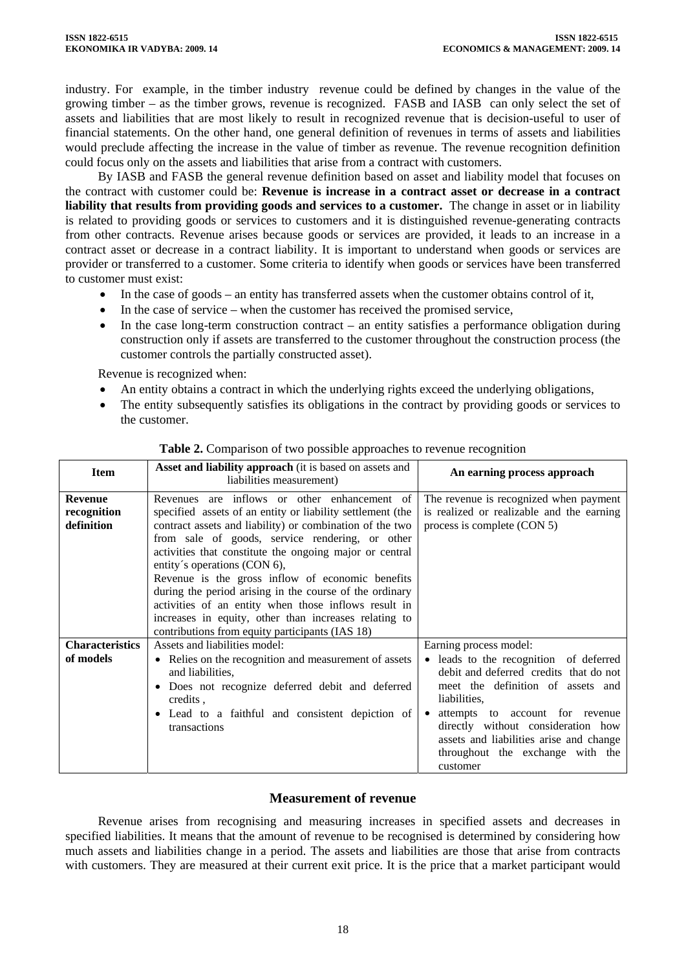industry. For example, in the timber industry revenue could be defined by changes in the value of the growing timber – as the timber grows, revenue is recognized. FASB and IASB can only select the set of assets and liabilities that are most likely to result in recognized revenue that is decision-useful to user of financial statements. On the other hand, one general definition of revenues in terms of assets and liabilities would preclude affecting the increase in the value of timber as revenue. The revenue recognition definition could focus only on the assets and liabilities that arise from a contract with customers.

By IASB and FASB the general revenue definition based on asset and liability model that focuses on the contract with customer could be: **Revenue is increase in a contract asset or decrease in a contract liability that results from providing goods and services to a customer.** The change in asset or in liability is related to providing goods or services to customers and it is distinguished revenue-generating contracts from other contracts. Revenue arises because goods or services are provided, it leads to an increase in a contract asset or decrease in a contract liability. It is important to understand when goods or services are provider or transferred to a customer. Some criteria to identify when goods or services have been transferred to customer must exist:

- In the case of goods an entity has transferred assets when the customer obtains control of it,
- In the case of service when the customer has received the promised service,
- In the case long-term construction contract an entity satisfies a performance obligation during construction only if assets are transferred to the customer throughout the construction process (the customer controls the partially constructed asset).

Revenue is recognized when:

- An entity obtains a contract in which the underlying rights exceed the underlying obligations,
- The entity subsequently satisfies its obligations in the contract by providing goods or services to the customer.

| <b>Item</b>                                 | <b>Asset and liability approach</b> (it is based on assets and<br>liabilities measurement)                                                                                                                                                                                                                                                                                                                                                                                                                                                                                                              | An earning process approach                                                                                                                                                                                                                                                                               |
|---------------------------------------------|---------------------------------------------------------------------------------------------------------------------------------------------------------------------------------------------------------------------------------------------------------------------------------------------------------------------------------------------------------------------------------------------------------------------------------------------------------------------------------------------------------------------------------------------------------------------------------------------------------|-----------------------------------------------------------------------------------------------------------------------------------------------------------------------------------------------------------------------------------------------------------------------------------------------------------|
| <b>Revenue</b><br>recognition<br>definition | Revenues are inflows or other enhancement of<br>specified assets of an entity or liability settlement (the<br>contract assets and liability) or combination of the two<br>from sale of goods, service rendering, or other<br>activities that constitute the ongoing major or central<br>entity's operations (CON 6),<br>Revenue is the gross inflow of economic benefits<br>during the period arising in the course of the ordinary<br>activities of an entity when those inflows result in<br>increases in equity, other than increases relating to<br>contributions from equity participants (IAS 18) | The revenue is recognized when payment<br>is realized or realizable and the earning<br>process is complete (CON 5)                                                                                                                                                                                        |
| <b>Characteristics</b>                      | Assets and liabilities model:                                                                                                                                                                                                                                                                                                                                                                                                                                                                                                                                                                           | Earning process model:                                                                                                                                                                                                                                                                                    |
| of models                                   | • Relies on the recognition and measurement of assets<br>and liabilities,<br>· Does not recognize deferred debit and deferred<br>credits.<br>• Lead to a faithful and consistent depiction of<br>transactions                                                                                                                                                                                                                                                                                                                                                                                           | • leads to the recognition of deferred<br>debit and deferred credits that do not<br>meet the definition of assets and<br>liabilities,<br>attempts to account for revenue<br>directly without consideration how<br>assets and liabilities arise and change<br>throughout the exchange with the<br>customer |

## **Table 2.** Comparison of two possible approaches to revenue recognition

## **Measurement of revenue**

Revenue arises from recognising and measuring increases in specified assets and decreases in specified liabilities. It means that the amount of revenue to be recognised is determined by considering how much assets and liabilities change in a period. The assets and liabilities are those that arise from contracts with customers. They are measured at their current exit price. It is the price that a market participant would